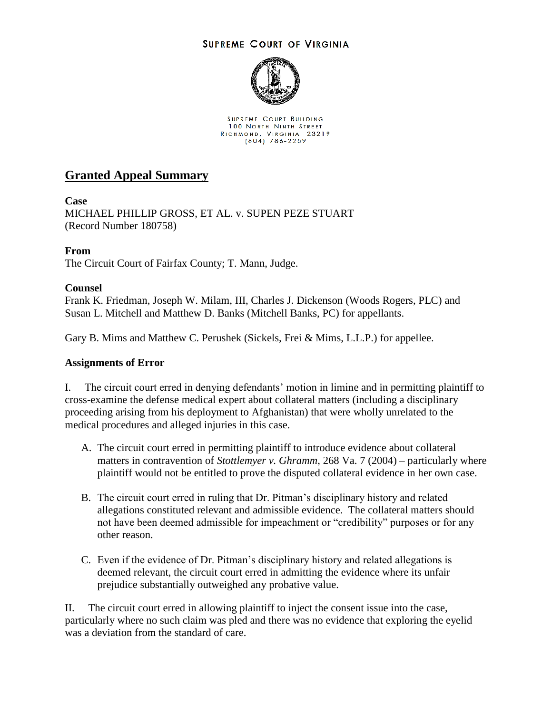## **SUPREME COURT OF VIRGINIA**



SUPREME COURT BUILDING 100 NORTH NINTH STREET RICHMOND, VIRGINIA 23219<br>(804) 786-2259

# **Granted Appeal Summary**

## **Case**

MICHAEL PHILLIP GROSS, ET AL. v. SUPEN PEZE STUART (Record Number 180758)

## **From**

The Circuit Court of Fairfax County; T. Mann, Judge.

## **Counsel**

Frank K. Friedman, Joseph W. Milam, III, Charles J. Dickenson (Woods Rogers, PLC) and Susan L. Mitchell and Matthew D. Banks (Mitchell Banks, PC) for appellants.

Gary B. Mims and Matthew C. Perushek (Sickels, Frei & Mims, L.L.P.) for appellee.

#### **Assignments of Error**

I. The circuit court erred in denying defendants' motion in limine and in permitting plaintiff to cross-examine the defense medical expert about collateral matters (including a disciplinary proceeding arising from his deployment to Afghanistan) that were wholly unrelated to the medical procedures and alleged injuries in this case.

- A. The circuit court erred in permitting plaintiff to introduce evidence about collateral matters in contravention of *Stottlemyer v. Ghramm*, 268 Va. 7 (2004) – particularly where plaintiff would not be entitled to prove the disputed collateral evidence in her own case.
- B. The circuit court erred in ruling that Dr. Pitman's disciplinary history and related allegations constituted relevant and admissible evidence. The collateral matters should not have been deemed admissible for impeachment or "credibility" purposes or for any other reason.
- C. Even if the evidence of Dr. Pitman's disciplinary history and related allegations is deemed relevant, the circuit court erred in admitting the evidence where its unfair prejudice substantially outweighed any probative value.

II. The circuit court erred in allowing plaintiff to inject the consent issue into the case, particularly where no such claim was pled and there was no evidence that exploring the eyelid was a deviation from the standard of care.